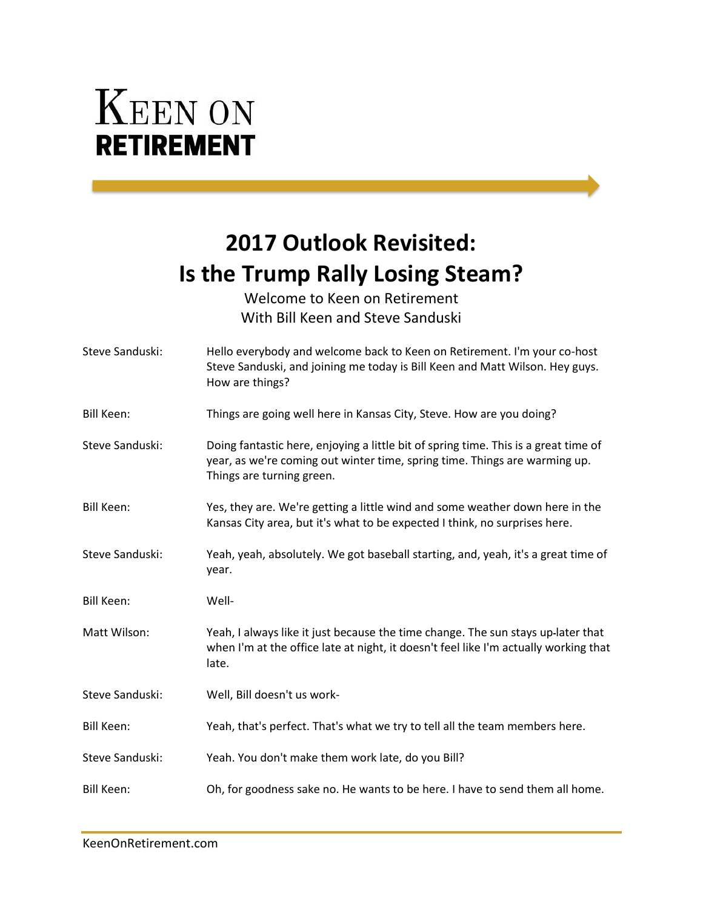## **KEEN ON RETIREMENT**

## **2017 Outlook Revisited: Is the Trump Rally Losing Steam?**

Welcome to Keen on Retirement With Bill Keen and Steve Sanduski

| Steve Sanduski:   | Hello everybody and welcome back to Keen on Retirement. I'm your co-host<br>Steve Sanduski, and joining me today is Bill Keen and Matt Wilson. Hey guys.<br>How are things?                    |
|-------------------|------------------------------------------------------------------------------------------------------------------------------------------------------------------------------------------------|
| <b>Bill Keen:</b> | Things are going well here in Kansas City, Steve. How are you doing?                                                                                                                           |
| Steve Sanduski:   | Doing fantastic here, enjoying a little bit of spring time. This is a great time of<br>year, as we're coming out winter time, spring time. Things are warming up.<br>Things are turning green. |
| Bill Keen:        | Yes, they are. We're getting a little wind and some weather down here in the<br>Kansas City area, but it's what to be expected I think, no surprises here.                                     |
| Steve Sanduski:   | Yeah, yeah, absolutely. We got baseball starting, and, yeah, it's a great time of<br>year.                                                                                                     |
| <b>Bill Keen:</b> | Well-                                                                                                                                                                                          |
| Matt Wilson:      | Yeah, I always like it just because the time change. The sun stays up-later that<br>when I'm at the office late at night, it doesn't feel like I'm actually working that<br>late.              |
| Steve Sanduski:   | Well, Bill doesn't us work-                                                                                                                                                                    |
| <b>Bill Keen:</b> | Yeah, that's perfect. That's what we try to tell all the team members here.                                                                                                                    |
| Steve Sanduski:   | Yeah. You don't make them work late, do you Bill?                                                                                                                                              |
| <b>Bill Keen:</b> | Oh, for goodness sake no. He wants to be here. I have to send them all home.                                                                                                                   |
|                   |                                                                                                                                                                                                |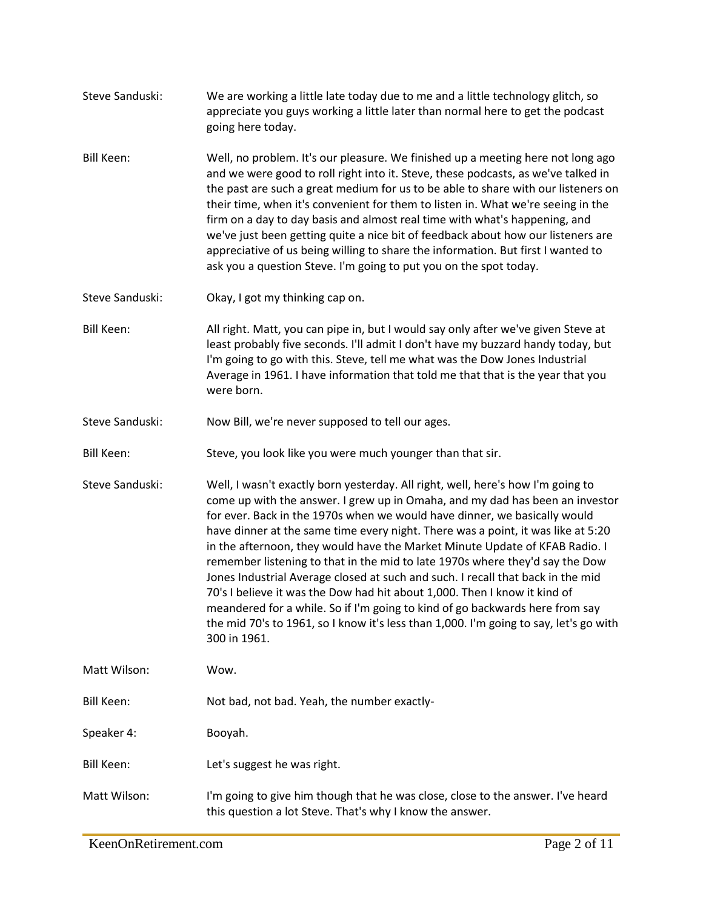- Steve Sanduski: We are working a little late today due to me and a little technology glitch, so appreciate you guys working a little later than normal here to get the podcast going here today. Bill Keen: Well, no problem. It's our pleasure. We finished up a meeting here not long ago and we were good to roll right into it. Steve, these podcasts, as we've talked in the past are such a great medium for us to be able to share with our listeners on their time, when it's convenient for them to listen in. What we're seeing in the
	- firm on a day to day basis and almost real time with what's happening, and we've just been getting quite a nice bit of feedback about how our listeners are appreciative of us being willing to share the information. But first I wanted to ask you a question Steve. I'm going to put you on the spot today.
- Steve Sanduski: Okay, I got my thinking cap on.
- Bill Keen: All right. Matt, you can pipe in, but I would say only after we've given Steve at least probably five seconds. I'll admit I don't have my buzzard handy today, but I'm going to go with this. Steve, tell me what was the Dow Jones Industrial Average in 1961. I have information that told me that that is the year that you were born.
- Steve Sanduski: Now Bill, we're never supposed to tell our ages.
- Bill Keen: Steve, you look like you were much younger than that sir.
- Steve Sanduski: Well, I wasn't exactly born yesterday. All right, well, here's how I'm going to come up with the answer. I grew up in Omaha, and my dad has been an investor for ever. Back in the 1970s when we would have dinner, we basically would have dinner at the same time every night. There was a point, it was like at 5:20 in the afternoon, they would have the Market Minute Update of KFAB Radio. I remember listening to that in the mid to late 1970s where they'd say the Dow Jones Industrial Average closed at such and such. I recall that back in the mid 70's I believe it was the Dow had hit about 1,000. Then I know it kind of meandered for a while. So if I'm going to kind of go backwards here from say the mid 70's to 1961, so I know it's less than 1,000. I'm going to say, let's go with 300 in 1961.

Matt Wilson: Wow.

Bill Keen: Not bad, not bad. Yeah, the number exactly-

Speaker 4: Booyah.

- Bill Keen: Let's suggest he was right.
- Matt Wilson: I'm going to give him though that he was close, close to the answer. I've heard this question a lot Steve. That's why I know the answer.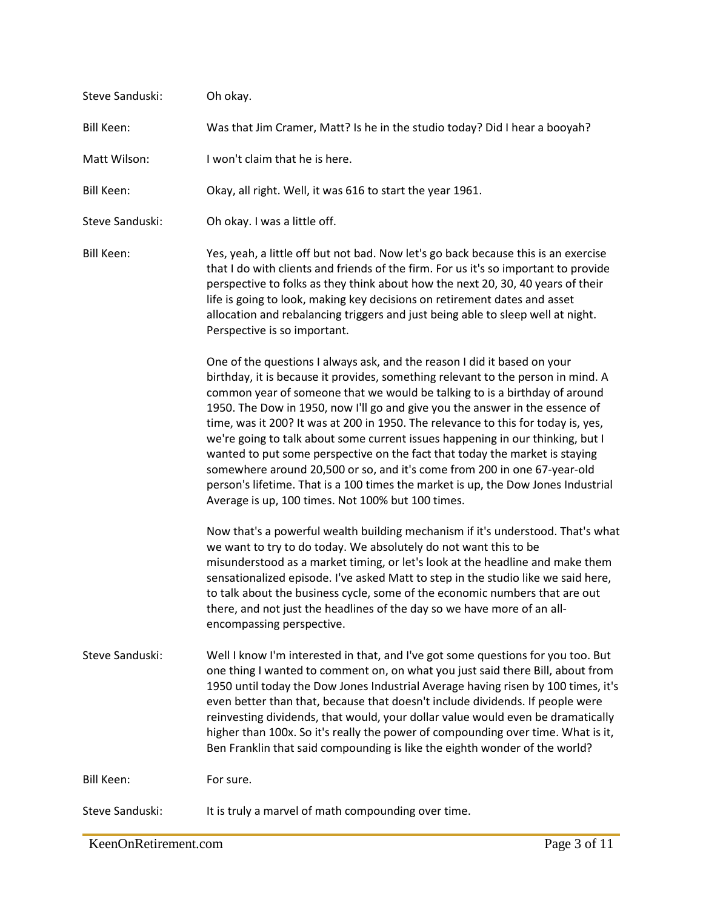| Steve Sanduski:   | Oh okay.                                                                                                                                                                                                                                                                                                                                                                                                                                                                                                                                                                                                                                                                                                                                                                                               |
|-------------------|--------------------------------------------------------------------------------------------------------------------------------------------------------------------------------------------------------------------------------------------------------------------------------------------------------------------------------------------------------------------------------------------------------------------------------------------------------------------------------------------------------------------------------------------------------------------------------------------------------------------------------------------------------------------------------------------------------------------------------------------------------------------------------------------------------|
| <b>Bill Keen:</b> | Was that Jim Cramer, Matt? Is he in the studio today? Did I hear a booyah?                                                                                                                                                                                                                                                                                                                                                                                                                                                                                                                                                                                                                                                                                                                             |
| Matt Wilson:      | I won't claim that he is here.                                                                                                                                                                                                                                                                                                                                                                                                                                                                                                                                                                                                                                                                                                                                                                         |
| <b>Bill Keen:</b> | Okay, all right. Well, it was 616 to start the year 1961.                                                                                                                                                                                                                                                                                                                                                                                                                                                                                                                                                                                                                                                                                                                                              |
| Steve Sanduski:   | Oh okay. I was a little off.                                                                                                                                                                                                                                                                                                                                                                                                                                                                                                                                                                                                                                                                                                                                                                           |
| <b>Bill Keen:</b> | Yes, yeah, a little off but not bad. Now let's go back because this is an exercise<br>that I do with clients and friends of the firm. For us it's so important to provide<br>perspective to folks as they think about how the next 20, 30, 40 years of their<br>life is going to look, making key decisions on retirement dates and asset<br>allocation and rebalancing triggers and just being able to sleep well at night.<br>Perspective is so important.                                                                                                                                                                                                                                                                                                                                           |
|                   | One of the questions I always ask, and the reason I did it based on your<br>birthday, it is because it provides, something relevant to the person in mind. A<br>common year of someone that we would be talking to is a birthday of around<br>1950. The Dow in 1950, now I'll go and give you the answer in the essence of<br>time, was it 200? It was at 200 in 1950. The relevance to this for today is, yes,<br>we're going to talk about some current issues happening in our thinking, but I<br>wanted to put some perspective on the fact that today the market is staying<br>somewhere around 20,500 or so, and it's come from 200 in one 67-year-old<br>person's lifetime. That is a 100 times the market is up, the Dow Jones Industrial<br>Average is up, 100 times. Not 100% but 100 times. |
|                   | Now that's a powerful wealth building mechanism if it's understood. That's what<br>we want to try to do today. We absolutely do not want this to be<br>misunderstood as a market timing, or let's look at the headline and make them<br>sensationalized episode. I've asked Matt to step in the studio like we said here,<br>to talk about the business cycle, some of the economic numbers that are out<br>there, and not just the headlines of the day so we have more of an all-<br>encompassing perspective.                                                                                                                                                                                                                                                                                       |
| Steve Sanduski:   | Well I know I'm interested in that, and I've got some questions for you too. But<br>one thing I wanted to comment on, on what you just said there Bill, about from<br>1950 until today the Dow Jones Industrial Average having risen by 100 times, it's<br>even better than that, because that doesn't include dividends. If people were<br>reinvesting dividends, that would, your dollar value would even be dramatically<br>higher than 100x. So it's really the power of compounding over time. What is it,<br>Ben Franklin that said compounding is like the eighth wonder of the world?                                                                                                                                                                                                          |
| <b>Bill Keen:</b> | For sure.                                                                                                                                                                                                                                                                                                                                                                                                                                                                                                                                                                                                                                                                                                                                                                                              |
| Steve Sanduski:   | It is truly a marvel of math compounding over time.                                                                                                                                                                                                                                                                                                                                                                                                                                                                                                                                                                                                                                                                                                                                                    |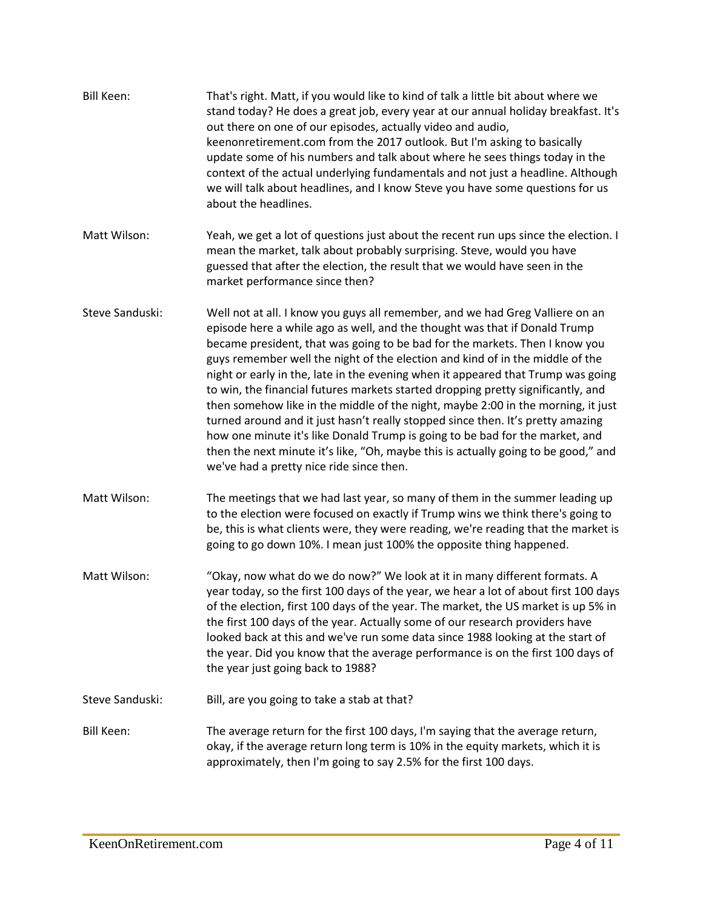| <b>Bill Keen:</b> | That's right. Matt, if you would like to kind of talk a little bit about where we<br>stand today? He does a great job, every year at our annual holiday breakfast. It's<br>out there on one of our episodes, actually video and audio,<br>keenonretirement.com from the 2017 outlook. But I'm asking to basically<br>update some of his numbers and talk about where he sees things today in the<br>context of the actual underlying fundamentals and not just a headline. Although<br>we will talk about headlines, and I know Steve you have some questions for us<br>about the headlines.                                                                                                                                                                                                                                                                                                 |
|-------------------|----------------------------------------------------------------------------------------------------------------------------------------------------------------------------------------------------------------------------------------------------------------------------------------------------------------------------------------------------------------------------------------------------------------------------------------------------------------------------------------------------------------------------------------------------------------------------------------------------------------------------------------------------------------------------------------------------------------------------------------------------------------------------------------------------------------------------------------------------------------------------------------------|
| Matt Wilson:      | Yeah, we get a lot of questions just about the recent run ups since the election. I<br>mean the market, talk about probably surprising. Steve, would you have<br>guessed that after the election, the result that we would have seen in the<br>market performance since then?                                                                                                                                                                                                                                                                                                                                                                                                                                                                                                                                                                                                                |
| Steve Sanduski:   | Well not at all. I know you guys all remember, and we had Greg Valliere on an<br>episode here a while ago as well, and the thought was that if Donald Trump<br>became president, that was going to be bad for the markets. Then I know you<br>guys remember well the night of the election and kind of in the middle of the<br>night or early in the, late in the evening when it appeared that Trump was going<br>to win, the financial futures markets started dropping pretty significantly, and<br>then somehow like in the middle of the night, maybe 2:00 in the morning, it just<br>turned around and it just hasn't really stopped since then. It's pretty amazing<br>how one minute it's like Donald Trump is going to be bad for the market, and<br>then the next minute it's like, "Oh, maybe this is actually going to be good," and<br>we've had a pretty nice ride since then. |
| Matt Wilson:      | The meetings that we had last year, so many of them in the summer leading up<br>to the election were focused on exactly if Trump wins we think there's going to<br>be, this is what clients were, they were reading, we're reading that the market is<br>going to go down 10%. I mean just 100% the opposite thing happened.                                                                                                                                                                                                                                                                                                                                                                                                                                                                                                                                                                 |
| Matt Wilson:      | "Okay, now what do we do now?" We look at it in many different formats. A<br>year today, so the first 100 days of the year, we hear a lot of about first 100 days<br>of the election, first 100 days of the year. The market, the US market is up 5% in<br>the first 100 days of the year. Actually some of our research providers have<br>looked back at this and we've run some data since 1988 looking at the start of<br>the year. Did you know that the average performance is on the first 100 days of<br>the year just going back to 1988?                                                                                                                                                                                                                                                                                                                                            |
| Steve Sanduski:   | Bill, are you going to take a stab at that?                                                                                                                                                                                                                                                                                                                                                                                                                                                                                                                                                                                                                                                                                                                                                                                                                                                  |
| <b>Bill Keen:</b> | The average return for the first 100 days, I'm saying that the average return,<br>okay, if the average return long term is 10% in the equity markets, which it is<br>approximately, then I'm going to say 2.5% for the first 100 days.                                                                                                                                                                                                                                                                                                                                                                                                                                                                                                                                                                                                                                                       |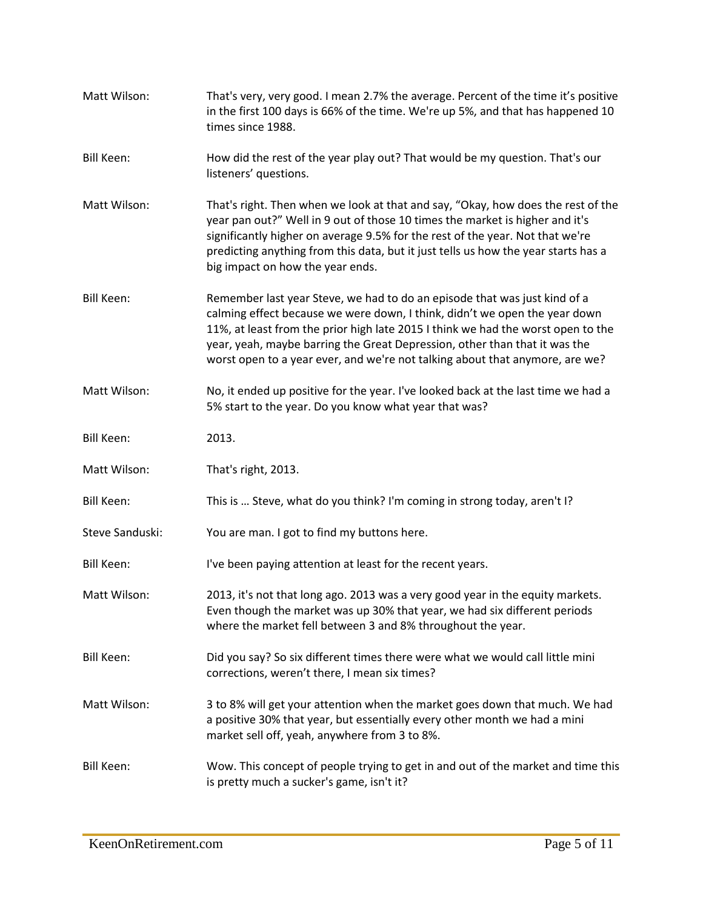| Matt Wilson:      | That's very, very good. I mean 2.7% the average. Percent of the time it's positive<br>in the first 100 days is 66% of the time. We're up 5%, and that has happened 10<br>times since 1988.                                                                                                                                                                                                                |
|-------------------|-----------------------------------------------------------------------------------------------------------------------------------------------------------------------------------------------------------------------------------------------------------------------------------------------------------------------------------------------------------------------------------------------------------|
| <b>Bill Keen:</b> | How did the rest of the year play out? That would be my question. That's our<br>listeners' questions.                                                                                                                                                                                                                                                                                                     |
| Matt Wilson:      | That's right. Then when we look at that and say, "Okay, how does the rest of the<br>year pan out?" Well in 9 out of those 10 times the market is higher and it's<br>significantly higher on average 9.5% for the rest of the year. Not that we're<br>predicting anything from this data, but it just tells us how the year starts has a<br>big impact on how the year ends.                               |
| <b>Bill Keen:</b> | Remember last year Steve, we had to do an episode that was just kind of a<br>calming effect because we were down, I think, didn't we open the year down<br>11%, at least from the prior high late 2015 I think we had the worst open to the<br>year, yeah, maybe barring the Great Depression, other than that it was the<br>worst open to a year ever, and we're not talking about that anymore, are we? |
| Matt Wilson:      | No, it ended up positive for the year. I've looked back at the last time we had a<br>5% start to the year. Do you know what year that was?                                                                                                                                                                                                                                                                |
| <b>Bill Keen:</b> | 2013.                                                                                                                                                                                                                                                                                                                                                                                                     |
| Matt Wilson:      | That's right, 2013.                                                                                                                                                                                                                                                                                                                                                                                       |
| <b>Bill Keen:</b> | This is  Steve, what do you think? I'm coming in strong today, aren't I?                                                                                                                                                                                                                                                                                                                                  |
| Steve Sanduski:   | You are man. I got to find my buttons here.                                                                                                                                                                                                                                                                                                                                                               |
| <b>Bill Keen:</b> | I've been paying attention at least for the recent years.                                                                                                                                                                                                                                                                                                                                                 |
| Matt Wilson:      | 2013, it's not that long ago. 2013 was a very good year in the equity markets.<br>Even though the market was up 30% that year, we had six different periods<br>where the market fell between 3 and 8% throughout the year.                                                                                                                                                                                |
| <b>Bill Keen:</b> | Did you say? So six different times there were what we would call little mini<br>corrections, weren't there, I mean six times?                                                                                                                                                                                                                                                                            |
| Matt Wilson:      | 3 to 8% will get your attention when the market goes down that much. We had<br>a positive 30% that year, but essentially every other month we had a mini<br>market sell off, yeah, anywhere from 3 to 8%.                                                                                                                                                                                                 |
| Bill Keen:        | Wow. This concept of people trying to get in and out of the market and time this<br>is pretty much a sucker's game, isn't it?                                                                                                                                                                                                                                                                             |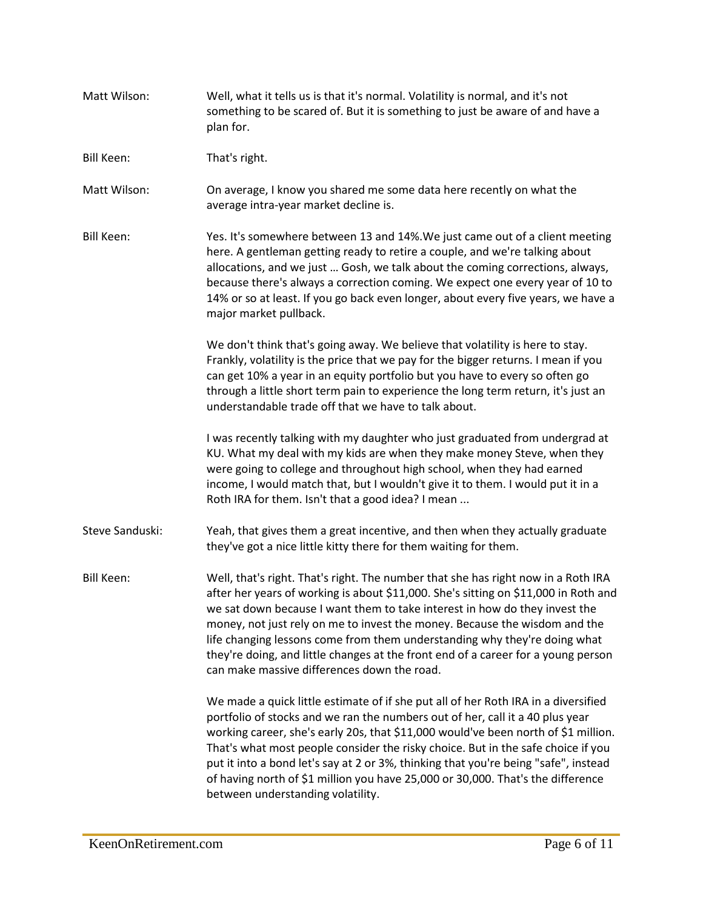| Matt Wilson:      | Well, what it tells us is that it's normal. Volatility is normal, and it's not<br>something to be scared of. But it is something to just be aware of and have a<br>plan for.                                                                                                                                                                                                                                                                                                                                                                                 |
|-------------------|--------------------------------------------------------------------------------------------------------------------------------------------------------------------------------------------------------------------------------------------------------------------------------------------------------------------------------------------------------------------------------------------------------------------------------------------------------------------------------------------------------------------------------------------------------------|
| <b>Bill Keen:</b> | That's right.                                                                                                                                                                                                                                                                                                                                                                                                                                                                                                                                                |
| Matt Wilson:      | On average, I know you shared me some data here recently on what the<br>average intra-year market decline is.                                                                                                                                                                                                                                                                                                                                                                                                                                                |
| <b>Bill Keen:</b> | Yes. It's somewhere between 13 and 14%. We just came out of a client meeting<br>here. A gentleman getting ready to retire a couple, and we're talking about<br>allocations, and we just  Gosh, we talk about the coming corrections, always,<br>because there's always a correction coming. We expect one every year of 10 to<br>14% or so at least. If you go back even longer, about every five years, we have a<br>major market pullback.                                                                                                                 |
|                   | We don't think that's going away. We believe that volatility is here to stay.<br>Frankly, volatility is the price that we pay for the bigger returns. I mean if you<br>can get 10% a year in an equity portfolio but you have to every so often go<br>through a little short term pain to experience the long term return, it's just an<br>understandable trade off that we have to talk about.                                                                                                                                                              |
|                   | I was recently talking with my daughter who just graduated from undergrad at<br>KU. What my deal with my kids are when they make money Steve, when they<br>were going to college and throughout high school, when they had earned<br>income, I would match that, but I wouldn't give it to them. I would put it in a<br>Roth IRA for them. Isn't that a good idea? I mean                                                                                                                                                                                    |
| Steve Sanduski:   | Yeah, that gives them a great incentive, and then when they actually graduate<br>they've got a nice little kitty there for them waiting for them.                                                                                                                                                                                                                                                                                                                                                                                                            |
| <b>Bill Keen:</b> | Well, that's right. That's right. The number that she has right now in a Roth IRA<br>after her years of working is about \$11,000. She's sitting on \$11,000 in Roth and<br>we sat down because I want them to take interest in how do they invest the<br>money, not just rely on me to invest the money. Because the wisdom and the<br>life changing lessons come from them understanding why they're doing what<br>they're doing, and little changes at the front end of a career for a young person<br>can make massive differences down the road.        |
|                   | We made a quick little estimate of if she put all of her Roth IRA in a diversified<br>portfolio of stocks and we ran the numbers out of her, call it a 40 plus year<br>working career, she's early 20s, that \$11,000 would've been north of \$1 million.<br>That's what most people consider the risky choice. But in the safe choice if you<br>put it into a bond let's say at 2 or 3%, thinking that you're being "safe", instead<br>of having north of \$1 million you have 25,000 or 30,000. That's the difference<br>between understanding volatility. |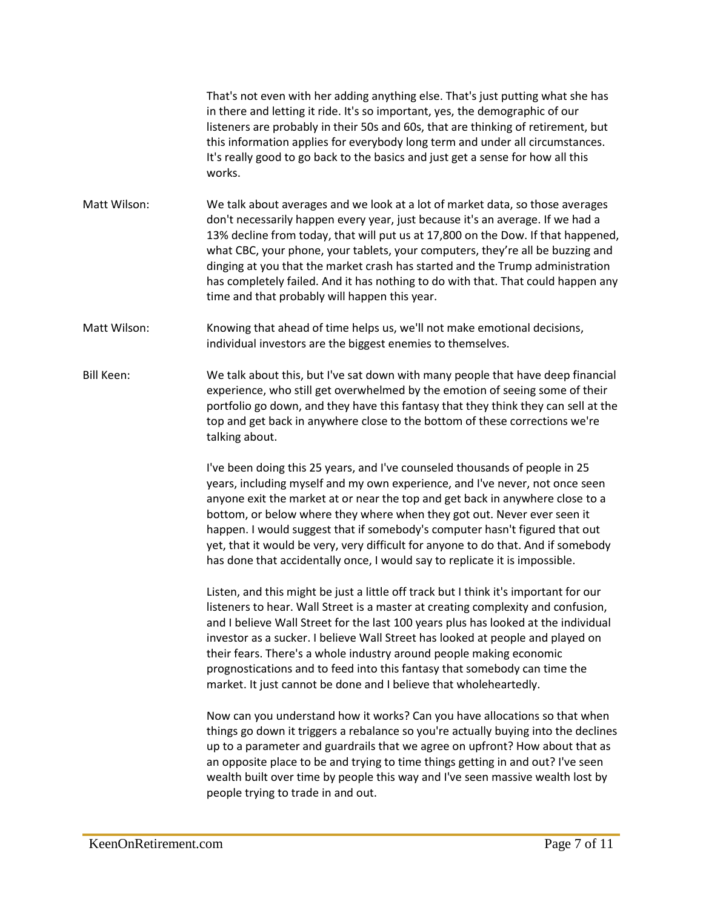That's not even with her adding anything else. That's just putting what she has in there and letting it ride. It's so important, yes, the demographic of our listeners are probably in their 50s and 60s, that are thinking of retirement, but this information applies for everybody long term and under all circumstances. It's really good to go back to the basics and just get a sense for how all this works.

- Matt Wilson: We talk about averages and we look at a lot of market data, so those averages don't necessarily happen every year, just because it's an average. If we had a 13% decline from today, that will put us at 17,800 on the Dow. If that happened, what CBC, your phone, your tablets, your computers, they're all be buzzing and dinging at you that the market crash has started and the Trump administration has completely failed. And it has nothing to do with that. That could happen any time and that probably will happen this year.
- Matt Wilson: Knowing that ahead of time helps us, we'll not make emotional decisions, individual investors are the biggest enemies to themselves.
- Bill Keen: We talk about this, but I've sat down with many people that have deep financial experience, who still get overwhelmed by the emotion of seeing some of their portfolio go down, and they have this fantasy that they think they can sell at the top and get back in anywhere close to the bottom of these corrections we're talking about.

I've been doing this 25 years, and I've counseled thousands of people in 25 years, including myself and my own experience, and I've never, not once seen anyone exit the market at or near the top and get back in anywhere close to a bottom, or below where they where when they got out. Never ever seen it happen. I would suggest that if somebody's computer hasn't figured that out yet, that it would be very, very difficult for anyone to do that. And if somebody has done that accidentally once, I would say to replicate it is impossible.

Listen, and this might be just a little off track but I think it's important for our listeners to hear. Wall Street is a master at creating complexity and confusion, and I believe Wall Street for the last 100 years plus has looked at the individual investor as a sucker. I believe Wall Street has looked at people and played on their fears. There's a whole industry around people making economic prognostications and to feed into this fantasy that somebody can time the market. It just cannot be done and I believe that wholeheartedly.

Now can you understand how it works? Can you have allocations so that when things go down it triggers a rebalance so you're actually buying into the declines up to a parameter and guardrails that we agree on upfront? How about that as an opposite place to be and trying to time things getting in and out? I've seen wealth built over time by people this way and I've seen massive wealth lost by people trying to trade in and out.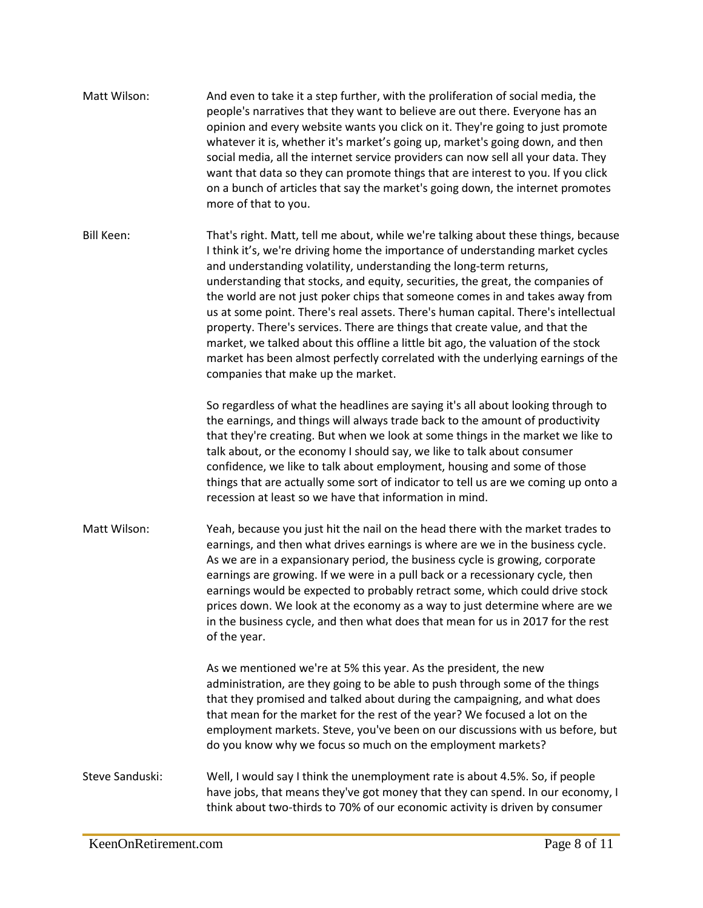| Matt Wilson:      | And even to take it a step further, with the proliferation of social media, the<br>people's narratives that they want to believe are out there. Everyone has an<br>opinion and every website wants you click on it. They're going to just promote<br>whatever it is, whether it's market's going up, market's going down, and then<br>social media, all the internet service providers can now sell all your data. They<br>want that data so they can promote things that are interest to you. If you click<br>on a bunch of articles that say the market's going down, the internet promotes<br>more of that to you.                                                                                                                                                                            |
|-------------------|--------------------------------------------------------------------------------------------------------------------------------------------------------------------------------------------------------------------------------------------------------------------------------------------------------------------------------------------------------------------------------------------------------------------------------------------------------------------------------------------------------------------------------------------------------------------------------------------------------------------------------------------------------------------------------------------------------------------------------------------------------------------------------------------------|
| <b>Bill Keen:</b> | That's right. Matt, tell me about, while we're talking about these things, because<br>I think it's, we're driving home the importance of understanding market cycles<br>and understanding volatility, understanding the long-term returns,<br>understanding that stocks, and equity, securities, the great, the companies of<br>the world are not just poker chips that someone comes in and takes away from<br>us at some point. There's real assets. There's human capital. There's intellectual<br>property. There's services. There are things that create value, and that the<br>market, we talked about this offline a little bit ago, the valuation of the stock<br>market has been almost perfectly correlated with the underlying earnings of the<br>companies that make up the market. |
|                   | So regardless of what the headlines are saying it's all about looking through to<br>the earnings, and things will always trade back to the amount of productivity<br>that they're creating. But when we look at some things in the market we like to<br>talk about, or the economy I should say, we like to talk about consumer<br>confidence, we like to talk about employment, housing and some of those<br>things that are actually some sort of indicator to tell us are we coming up onto a<br>recession at least so we have that information in mind.                                                                                                                                                                                                                                      |
| Matt Wilson:      | Yeah, because you just hit the nail on the head there with the market trades to<br>earnings, and then what drives earnings is where are we in the business cycle.<br>As we are in a expansionary period, the business cycle is growing, corporate<br>earnings are growing. If we were in a pull back or a recessionary cycle, then<br>earnings would be expected to probably retract some, which could drive stock<br>prices down. We look at the economy as a way to just determine where are we<br>in the business cycle, and then what does that mean for us in 2017 for the rest<br>of the year.                                                                                                                                                                                             |
|                   | As we mentioned we're at 5% this year. As the president, the new<br>administration, are they going to be able to push through some of the things<br>that they promised and talked about during the campaigning, and what does<br>that mean for the market for the rest of the year? We focused a lot on the<br>employment markets. Steve, you've been on our discussions with us before, but<br>do you know why we focus so much on the employment markets?                                                                                                                                                                                                                                                                                                                                      |
| Steve Sanduski:   | Well, I would say I think the unemployment rate is about 4.5%. So, if people<br>have jobs, that means they've got money that they can spend. In our economy, I<br>think about two-thirds to 70% of our economic activity is driven by consumer                                                                                                                                                                                                                                                                                                                                                                                                                                                                                                                                                   |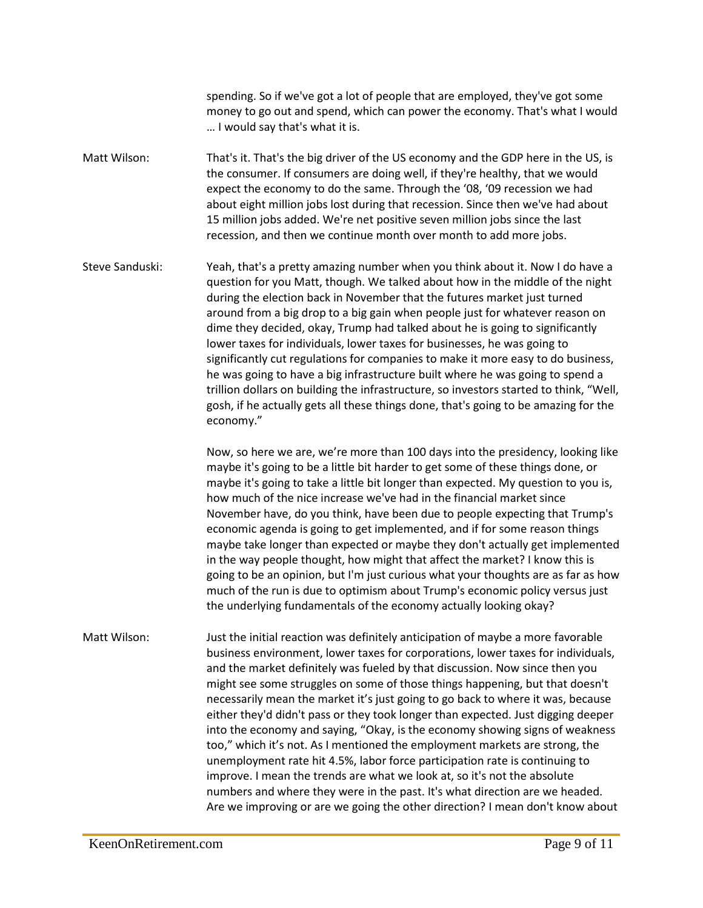spending. So if we've got a lot of people that are employed, they've got some money to go out and spend, which can power the economy. That's what I would … I would say that's what it is.

Matt Wilson: That's it. That's the big driver of the US economy and the GDP here in the US, is the consumer. If consumers are doing well, if they're healthy, that we would expect the economy to do the same. Through the '08, '09 recession we had about eight million jobs lost during that recession. Since then we've had about 15 million jobs added. We're net positive seven million jobs since the last recession, and then we continue month over month to add more jobs.

Steve Sanduski: Yeah, that's a pretty amazing number when you think about it. Now I do have a question for you Matt, though. We talked about how in the middle of the night during the election back in November that the futures market just turned around from a big drop to a big gain when people just for whatever reason on dime they decided, okay, Trump had talked about he is going to significantly lower taxes for individuals, lower taxes for businesses, he was going to significantly cut regulations for companies to make it more easy to do business, he was going to have a big infrastructure built where he was going to spend a trillion dollars on building the infrastructure, so investors started to think, "Well, gosh, if he actually gets all these things done, that's going to be amazing for the economy."

> Now, so here we are, we're more than 100 days into the presidency, looking like maybe it's going to be a little bit harder to get some of these things done, or maybe it's going to take a little bit longer than expected. My question to you is, how much of the nice increase we've had in the financial market since November have, do you think, have been due to people expecting that Trump's economic agenda is going to get implemented, and if for some reason things maybe take longer than expected or maybe they don't actually get implemented in the way people thought, how might that affect the market? I know this is going to be an opinion, but I'm just curious what your thoughts are as far as how much of the run is due to optimism about Trump's economic policy versus just the underlying fundamentals of the economy actually looking okay?

Matt Wilson: Just the initial reaction was definitely anticipation of maybe a more favorable business environment, lower taxes for corporations, lower taxes for individuals, and the market definitely was fueled by that discussion. Now since then you might see some struggles on some of those things happening, but that doesn't necessarily mean the market it's just going to go back to where it was, because either they'd didn't pass or they took longer than expected. Just digging deeper into the economy and saying, "Okay, is the economy showing signs of weakness too," which it's not. As I mentioned the employment markets are strong, the unemployment rate hit 4.5%, labor force participation rate is continuing to improve. I mean the trends are what we look at, so it's not the absolute numbers and where they were in the past. It's what direction are we headed. Are we improving or are we going the other direction? I mean don't know about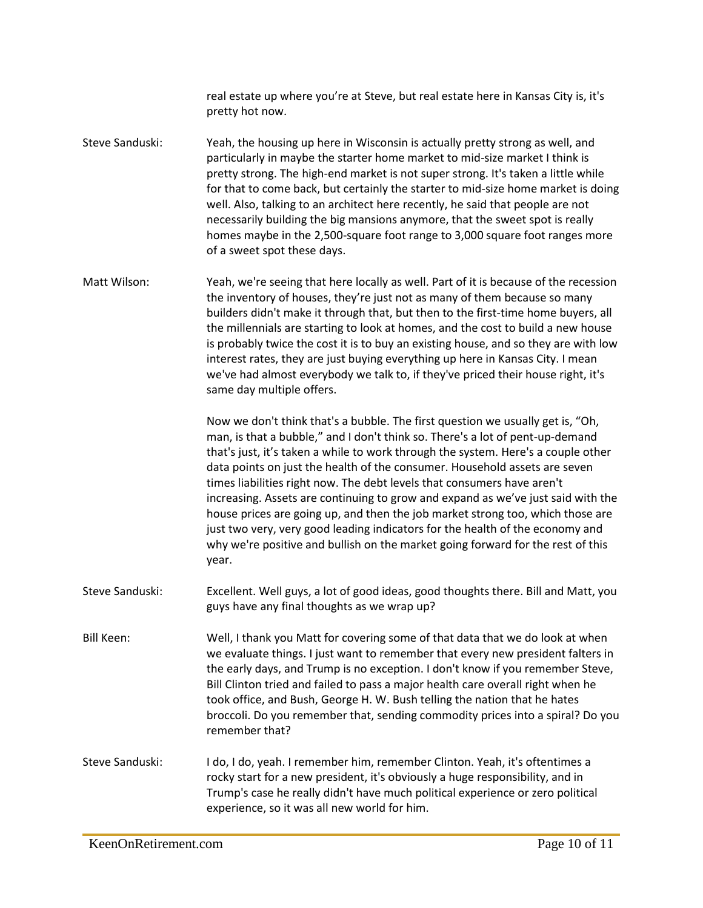real estate up where you're at Steve, but real estate here in Kansas City is, it's pretty hot now.

Steve Sanduski: Yeah, the housing up here in Wisconsin is actually pretty strong as well, and particularly in maybe the starter home market to mid-size market I think is pretty strong. The high-end market is not super strong. It's taken a little while for that to come back, but certainly the starter to mid-size home market is doing well. Also, talking to an architect here recently, he said that people are not necessarily building the big mansions anymore, that the sweet spot is really homes maybe in the 2,500-square foot range to 3,000 square foot ranges more of a sweet spot these days.

Matt Wilson: Yeah, we're seeing that here locally as well. Part of it is because of the recession the inventory of houses, they're just not as many of them because so many builders didn't make it through that, but then to the first-time home buyers, all the millennials are starting to look at homes, and the cost to build a new house is probably twice the cost it is to buy an existing house, and so they are with low interest rates, they are just buying everything up here in Kansas City. I mean we've had almost everybody we talk to, if they've priced their house right, it's same day multiple offers.

> Now we don't think that's a bubble. The first question we usually get is, "Oh, man, is that a bubble," and I don't think so. There's a lot of pent-up-demand that's just, it's taken a while to work through the system. Here's a couple other data points on just the health of the consumer. Household assets are seven times liabilities right now. The debt levels that consumers have aren't increasing. Assets are continuing to grow and expand as we've just said with the house prices are going up, and then the job market strong too, which those are just two very, very good leading indicators for the health of the economy and why we're positive and bullish on the market going forward for the rest of this year.

- Steve Sanduski: Excellent. Well guys, a lot of good ideas, good thoughts there. Bill and Matt, you guys have any final thoughts as we wrap up?
- Bill Keen: Well, I thank you Matt for covering some of that data that we do look at when we evaluate things. I just want to remember that every new president falters in the early days, and Trump is no exception. I don't know if you remember Steve, Bill Clinton tried and failed to pass a major health care overall right when he took office, and Bush, George H. W. Bush telling the nation that he hates broccoli. Do you remember that, sending commodity prices into a spiral? Do you remember that?
- Steve Sanduski: I do, I do, yeah. I remember him, remember Clinton. Yeah, it's oftentimes a rocky start for a new president, it's obviously a huge responsibility, and in Trump's case he really didn't have much political experience or zero political experience, so it was all new world for him.